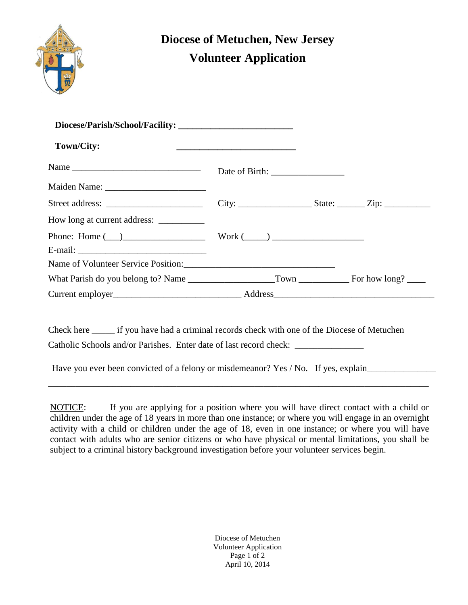

## **Diocese of Metuchen, New Jersey Volunteer Application**

| Town/City:                     | <u> 1989 - Johann John Stein, meil am der Stein am dem Berger auf dem Berger auf dem Berger auf dem Berger auf dem </u> |  |
|--------------------------------|-------------------------------------------------------------------------------------------------------------------------|--|
|                                |                                                                                                                         |  |
|                                |                                                                                                                         |  |
|                                |                                                                                                                         |  |
|                                |                                                                                                                         |  |
| Phone: Home $(\_)$ Work $(\_)$ |                                                                                                                         |  |
|                                |                                                                                                                         |  |
|                                |                                                                                                                         |  |
|                                |                                                                                                                         |  |
|                                |                                                                                                                         |  |

Catholic Schools and/or Parishes. Enter date of last record check: \_\_\_\_\_\_\_\_\_\_\_\_\_\_\_

There you ever over convicted of a reforty of information. The Have you ever been convicted of a felony or misdemeanor? Yes / No. If yes, explain\_\_\_\_\_\_\_\_\_\_\_\_\_\_\_\_\_\_\_\_\_\_\_\_\_\_\_\_

NOTICE: If you are applying for a position where you will have direct contact with a child or children under the age of 18 years in more than one instance; or where you will engage in an overnight activity with a child or children under the age of 18, even in one instance; or where you will have contact with adults who are senior citizens or who have physical or mental limitations, you shall be subject to a criminal history background investigation before your volunteer services begin.

\_\_\_\_\_\_\_\_\_\_\_\_\_\_\_\_\_\_\_\_\_\_\_\_\_\_\_\_\_\_\_\_\_\_\_\_\_\_\_\_\_\_\_\_\_\_\_\_\_\_\_\_\_\_\_\_\_\_\_\_\_\_\_\_\_\_\_\_\_\_\_\_\_\_\_\_\_\_\_\_\_\_\_

Diocese of Metuchen Volunteer Application Page 1 of 2 April 10, 2014